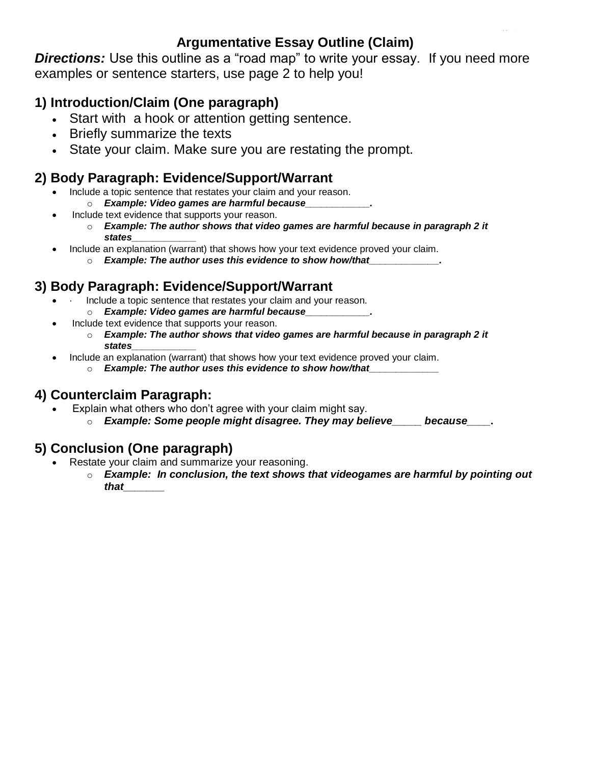#### **Argumentative Essay Outline (Claim)**

**Directions:** Use this outline as a "road map" to write your essay. If you need more examples or sentence starters, use page 2 to help you!

### **1) Introduction/Claim (One paragraph)**

- Start with a hook or attention getting sentence.
- Briefly summarize the texts
- State your claim. Make sure you are restating the prompt.

### **2) Body Paragraph: Evidence/Support/Warrant**

- Include a topic sentence that restates your claim and your reason. o *Example: Video games are harmful because\_\_\_\_\_\_\_\_\_\_\_\_.*
- Include text evidence that supports your reason.
	- o *Example: The author shows that video games are harmful because in paragraph 2 it states\_\_\_\_\_\_\_\_\_\_\_\_*
- Include an explanation (warrant) that shows how your text evidence proved your claim.
	- o *Example: The author uses this evidence to show how/that\_\_\_\_\_\_\_\_\_\_\_\_\_.*

#### **3) Body Paragraph: Evidence/Support/Warrant**

- Include a topic sentence that restates your claim and your reason.
	- o *Example: Video games are harmful because\_\_\_\_\_\_\_\_\_\_\_\_.*
- Include text evidence that supports your reason.
	- o *Example: The author shows that video games are harmful because in paragraph 2 it states\_\_\_\_\_\_\_\_\_\_\_\_*
- Include an explanation (warrant) that shows how your text evidence proved your claim.
	- o *Example: The author uses this evidence to show how/that\_\_\_\_\_\_\_\_\_\_\_\_\_*

#### **4) Counterclaim Paragraph:**

- Explain what others who don't agree with your claim might say.
	- o *Example: Some people might disagree. They may believe\_\_\_\_\_ because\_\_\_\_.*

#### **5) Conclusion (One paragraph)**

- Restate your claim and summarize your reasoning.
	- o *Example: In conclusion, the text shows that videogames are harmful by pointing out that\_\_\_\_\_\_\_*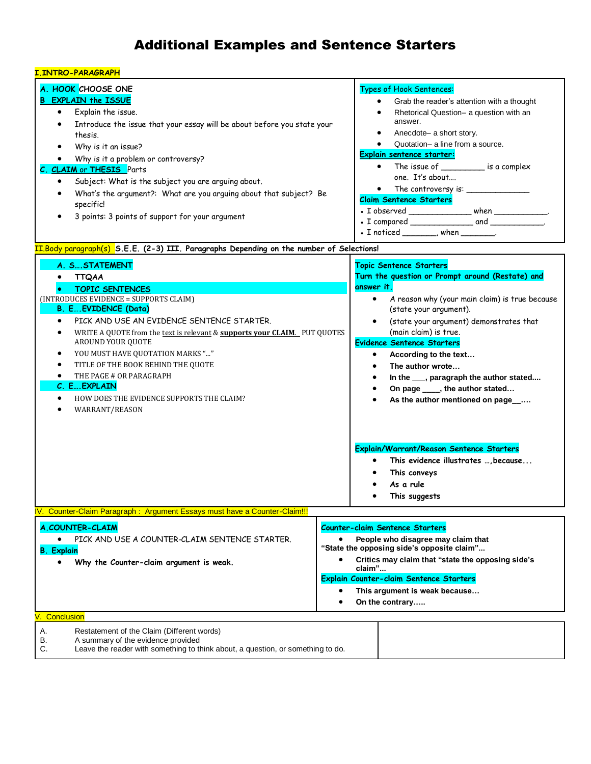# Additional Examples and Sentence Starters

| <u>I.INTRO-PARAGRAPH</u> |  |  |  |  |  |  |  |  |  |
|--------------------------|--|--|--|--|--|--|--|--|--|
|--------------------------|--|--|--|--|--|--|--|--|--|

| A. HOOK CHOOSE ONE<br><b>B EXPLAIN the ISSUE</b><br>Explain the issue.<br>$\bullet$<br>Introduce the issue that your essay will be about before you state your<br>$\bullet$<br>thesis.<br>Why is it an issue?<br>Why is it a problem or controversy?<br>C. CLAIM or THESIS Parts<br>Subject: What is the subject you are arguing about.<br>$\bullet$<br>What's the argument?: What are you arguing about that subject? Be<br>$\bullet$<br>specific!<br>3 points: 3 points of support for your argument<br>$\bullet$<br><mark>II.Body paragraph(s) S.E.E. (2-3) III. Paragraphs Depending on the number of Selections!</mark> | Types of Hook Sentences:<br>Grab the reader's attention with a thought<br>٠<br>Rhetorical Question- a question with an<br>answer.<br>Anecdote- a short story.<br>Quotation- a line from a source.<br><b>Explain sentence starter:</b><br>• The issue of ___________ is a complex<br>one. It's about<br>• The controversy is:<br><b>Claim Sentence Starters</b><br>. I observed _________________ when ___________.<br>$\bullet$ I noticed _______, when ________                                                                                                                                                                   |
|------------------------------------------------------------------------------------------------------------------------------------------------------------------------------------------------------------------------------------------------------------------------------------------------------------------------------------------------------------------------------------------------------------------------------------------------------------------------------------------------------------------------------------------------------------------------------------------------------------------------------|------------------------------------------------------------------------------------------------------------------------------------------------------------------------------------------------------------------------------------------------------------------------------------------------------------------------------------------------------------------------------------------------------------------------------------------------------------------------------------------------------------------------------------------------------------------------------------------------------------------------------------|
| A. S STATEMENT<br>· TTQAA<br><b>TOPIC SENTENCES</b><br>(INTRODUCES EVIDENCE = SUPPORTS CLAIM)<br><b>B. E EVIDENCE (Data)</b><br>PICK AND USE AN EVIDENCE SENTENCE STARTER.<br>$\bullet$<br>WRITE A QUOTE from the text is relevant & supports your CLAIM. PUT QUOTES<br>$\bullet$<br>AROUND YOUR QUOTE<br>YOU MUST HAVE QUOTATION MARKS ""<br>٠<br>TITLE OF THE BOOK BEHIND THE QUOTE<br>$\bullet$<br>THE PAGE # OR PARAGRAPH<br>$\bullet$<br>C. E EXPLAIN<br>HOW DOES THE EVIDENCE SUPPORTS THE CLAIM?<br>$\bullet$<br>WARRANT/REASON<br>$\bullet$                                                                          | <b>Topic Sentence Starters</b><br>Turn the question or Prompt around (Restate) and<br>answer it.<br>A reason why (your main claim) is true because<br>$\bullet$<br>(state your argument).<br>(state your argument) demonstrates that<br>$\bullet$<br>(main claim) is true.<br><b>Evidence Sentence Starters</b><br>According to the text<br>$\bullet$<br>The author wrote<br>٠<br>In the ___, paragraph the author stated<br>٠<br>On page _____, the author stated<br>As the author mentioned on page<br>Explain/Warrant/Reason Sentence Starters<br>This evidence illustrates , because<br>$\bullet$<br>This conveys<br>As a rule |
| Counter-Claim Paragraph : Argument Essays must have a Counter-Claim!!!                                                                                                                                                                                                                                                                                                                                                                                                                                                                                                                                                       | This suggests                                                                                                                                                                                                                                                                                                                                                                                                                                                                                                                                                                                                                      |
| <b>A.COUNTER-CLAIM</b><br>PICK AND USE A COUNTER-CLAIM SENTENCE STARTER.<br><b>B.</b> Explain<br>Why the Counter-claim argument is weak.<br>$\bullet$                                                                                                                                                                                                                                                                                                                                                                                                                                                                        | <b>Counter-claim Sentence Starters</b><br>People who disagree may claim that<br>"State the opposing side's opposite claim"<br>Critics may claim that "state the opposing side's<br>claim"<br>Explain Counter-claim Sentence Starters<br>This argument is weak because<br>On the contrary<br>$\bullet$                                                                                                                                                                                                                                                                                                                              |
| Conclusion<br>А.<br>Restatement of the Claim (Different words)<br>В.<br>A summary of the evidence provided<br>C.<br>Leave the reader with something to think about, a question, or something to do.                                                                                                                                                                                                                                                                                                                                                                                                                          |                                                                                                                                                                                                                                                                                                                                                                                                                                                                                                                                                                                                                                    |